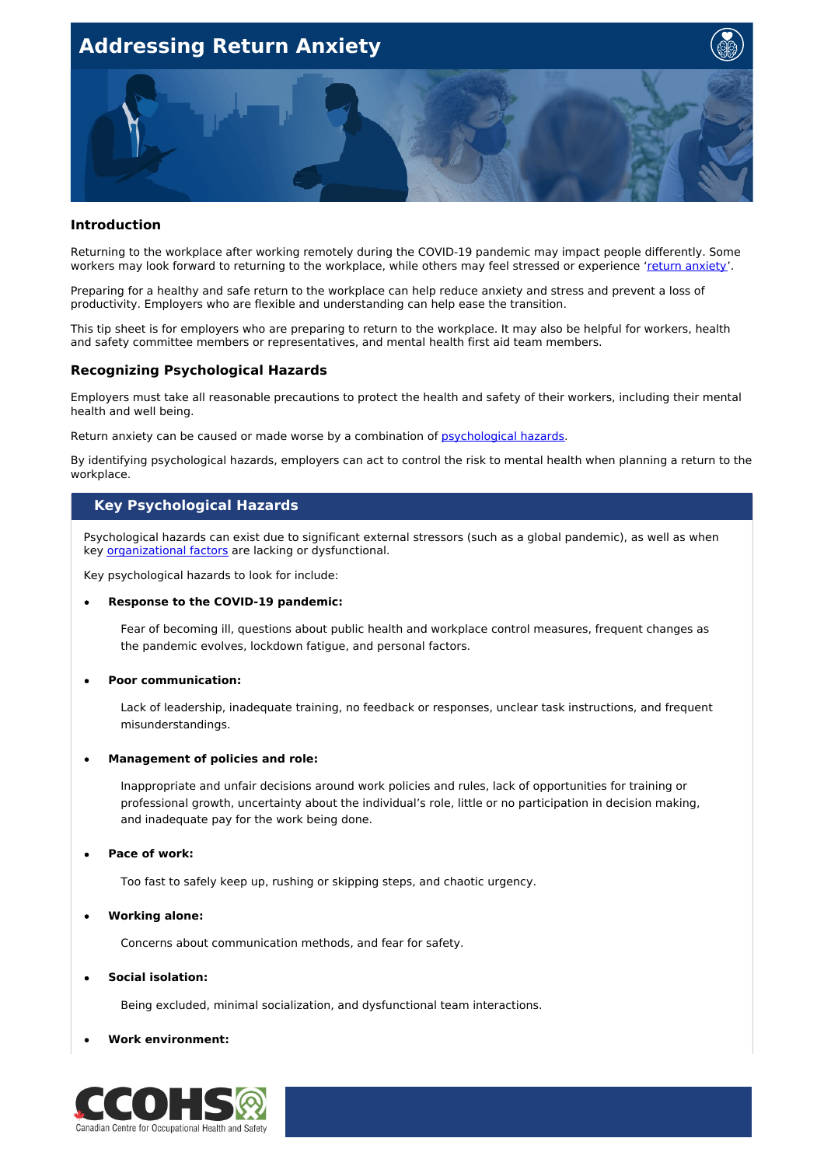

### **Introduction**

Returning to the workplace after working remotely during the COVID-19 pandemic may impact people differently. Some workers may look forward to returning to the workplace, while others may feel stressed or experience 'return [anxiety](https://mentalhealthcommission.ca/resource/how-to-manage-return-anxiety-as-the-lockdown-lifts/)'.

Preparing for a healthy and safe return to the workplace can help reduce anxiety and stress and prevent a loss of productivity. Employers who are flexible and understanding can help ease the transition.

This tip sheet is for employers who are preparing to return to the workplace. It may also be helpful for workers, health and safety committee members or representatives, and mental health first aid team members.

# **Recognizing Psychological Hazards**

Employers must take all reasonable precautions to protect the health and safety of their workers, including their mental health and well being.

Return anxiety can be caused or made worse by a combination of [psychological](https://www.ccohs.ca/oshanswers/psychosocial/mentalhealth_checklist_phs.html) hazards.

By identifying psychological hazards, employers can act to control the risk to mental health when planning a return to the workplace.

# **Key Psychological Hazards**

Psychological hazards can exist due to significant external stressors (such as a global pandemic), as well as when key **[organizational](https://www.ccohs.ca/oshanswers/psychosocial/mentalhealth_risk.html) factors** are lacking or dysfunctional.

Key psychological hazards to look for include:

### **Response to the COVID-19 pandemic:**

Fear of becoming ill, questions about public health and workplace control measures, frequent changes as the pandemic evolves, lockdown fatigue, and personal factors.

### **Poor communication:**

Lack of leadership, inadequate training, no feedback or responses, unclear task instructions, and frequent misunderstandings.

### **Management of policies and role:**

Inappropriate and unfair decisions around work policies and rules, lack of opportunities for training or professional growth, uncertainty about the individual's role, little or no participation in decision making, and inadequate pay for the work being done.

### **Pace of work:**

Too fast to safely keep up, rushing or skipping steps, and chaotic urgency.

## **Working alone:**

Concerns about communication methods, and fear for safety.

# **Social isolation:**

Being excluded, minimal socialization, and dysfunctional team interactions.

### **Work environment:**

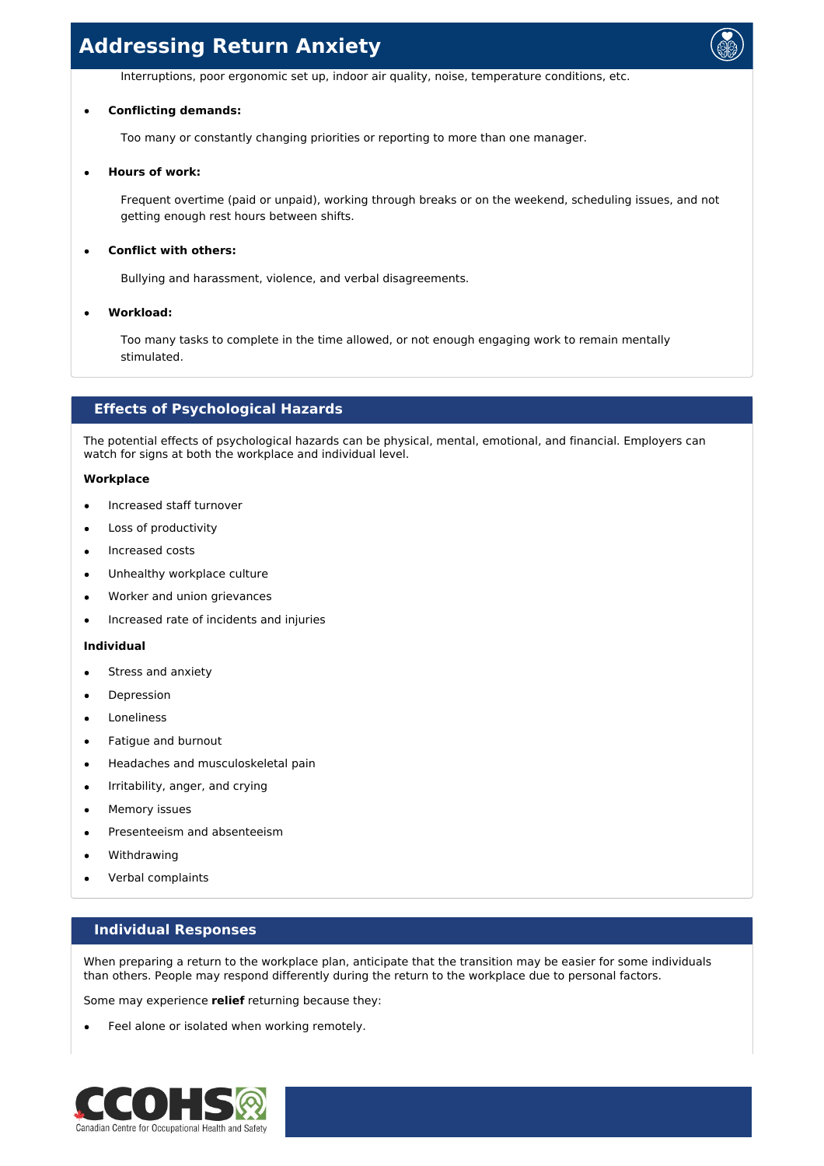Interruptions, poor ergonomic set up, indoor air quality, noise, temperature conditions, etc.

### **Conflicting demands:**

Too many or constantly changing priorities or reporting to more than one manager.

### **Hours of work:**

Frequent overtime (paid or unpaid), working through breaks or on the weekend, scheduling issues, and not getting enough rest hours between shifts.

# **Conflict with others:**

Bullying and harassment, violence, and verbal disagreements.

## **Workload:**

Too many tasks to complete in the time allowed, or not enough engaging work to remain mentally stimulated.

# **Effects of Psychological Hazards**

The potential effects of psychological hazards can be physical, mental, emotional, and financial. Employers can watch for signs at both the workplace and individual level.

## **Workplace**

- Increased staff turnover
- Loss of productivity
- Increased costs
- Unhealthy workplace culture
- Worker and union grievances
- Increased rate of incidents and injuries

### **Individual**

- Stress and anxiety
- Depression
- Loneliness
- Fatigue and burnout  $\blacksquare$
- Headaches and musculoskeletal pain  $\bullet$
- Irritability, anger, and crying  $\bullet$
- Memory issues
- Presenteeism and absenteeism
- Withdrawing
- Verbal complaints

# **Individual Responses**

When preparing a return to the workplace plan, anticipate that the transition may be easier for some individuals than others. People may respond differently during the return to the workplace due to personal factors.

Some may experience **relief** returning because they:

Feel alone or isolated when working remotely.

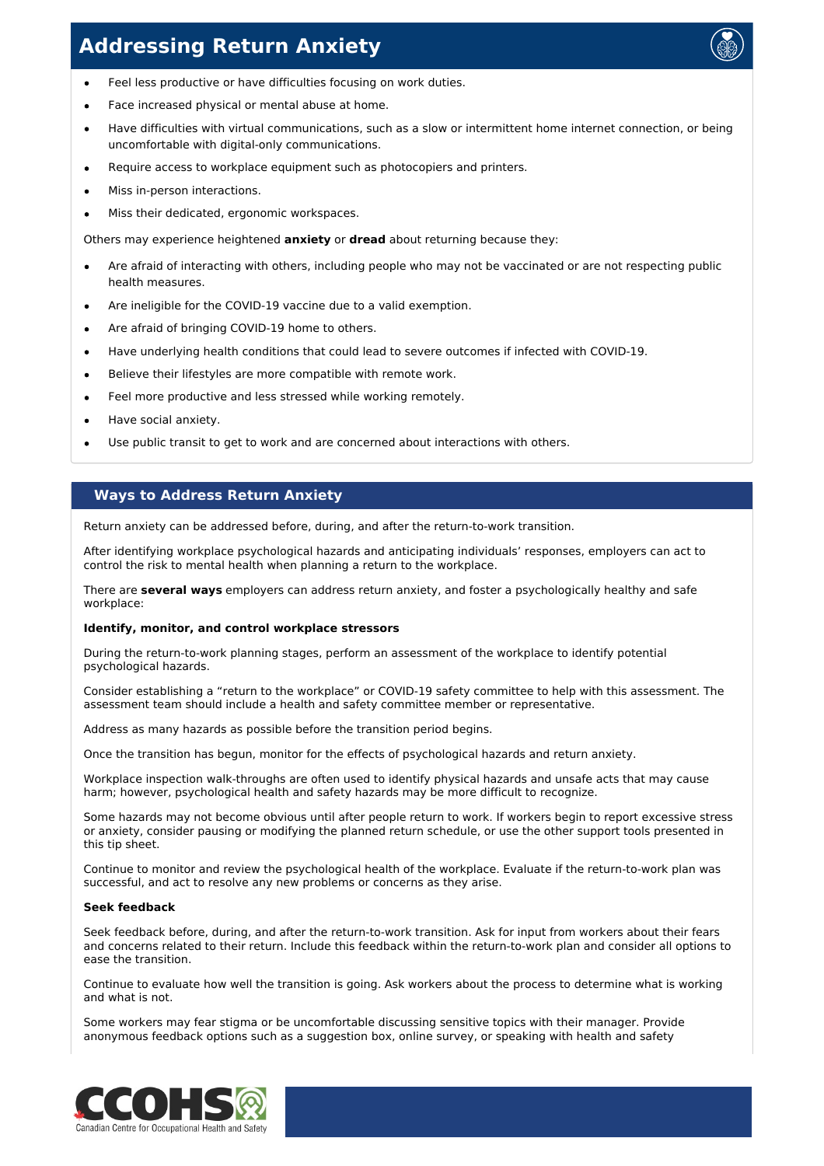

- Feel less productive or have difficulties focusing on work duties.  $\bullet$
- Face increased physical or mental abuse at home.
- Have difficulties with virtual communications, such as a slow or intermittent home internet connection, or being uncomfortable with digital-only communications.
- Require access to workplace equipment such as photocopiers and printers.
- Miss in-person interactions.
- Miss their dedicated, ergonomic workspaces.

Others may experience heightened **anxiety** or **dread** about returning because they:

- Are afraid of interacting with others, including people who may not be vaccinated or are not respecting public health measures.
- Are ineligible for the COVID-19 vaccine due to a valid exemption.
- Are afraid of bringing COVID-19 home to others.
- Have underlying health conditions that could lead to severe outcomes if infected with COVID-19.  $\blacksquare$
- Believe their lifestyles are more compatible with remote work.
- Feel more productive and less stressed while working remotely.
- Have social anxiety.
- Use public transit to get to work and are concerned about interactions with others.

# **Ways to Address Return Anxiety**

Return anxiety can be addressed before, during, and after the return-to-work transition.

After identifying workplace psychological hazards and anticipating individuals' responses, employers can act to control the risk to mental health when planning a return to the workplace.

There are **several ways** employers can address return anxiety, and foster a psychologically healthy and safe workplace:

## **Identify, monitor, and control workplace stressors**

During the return-to-work planning stages, perform an assessment of the workplace to identify potential psychological hazards.

Consider establishing a "return to the workplace" or COVID-19 safety committee to help with this assessment. The assessment team should include a health and safety committee member or representative.

Address as many hazards as possible before the transition period begins.

Once the transition has begun, monitor for the effects of psychological hazards and return anxiety.

Workplace inspection walk-throughs are often used to identify physical hazards and unsafe acts that may cause harm; however, psychological health and safety hazards may be more difficult to recognize.

Some hazards may not become obvious until after people return to work. If workers begin to report excessive stress or anxiety, consider pausing or modifying the planned return schedule, or use the other support tools presented in this tip sheet.

Continue to monitor and review the psychological health of the workplace. Evaluate if the return-to-work plan was successful, and act to resolve any new problems or concerns as they arise.

## **Seek feedback**

Seek feedback before, during, and after the return-to-work transition. Ask for input from workers about their fears and concerns related to their return. Include this feedback within the return-to-work plan and consider all options to ease the transition.

Continue to evaluate how well the transition is going. Ask workers about the process to determine what is working and what is not.

Some workers may fear stigma or be uncomfortable discussing sensitive topics with their manager. Provide anonymous feedback options such as a suggestion box, online survey, or speaking with health and safety

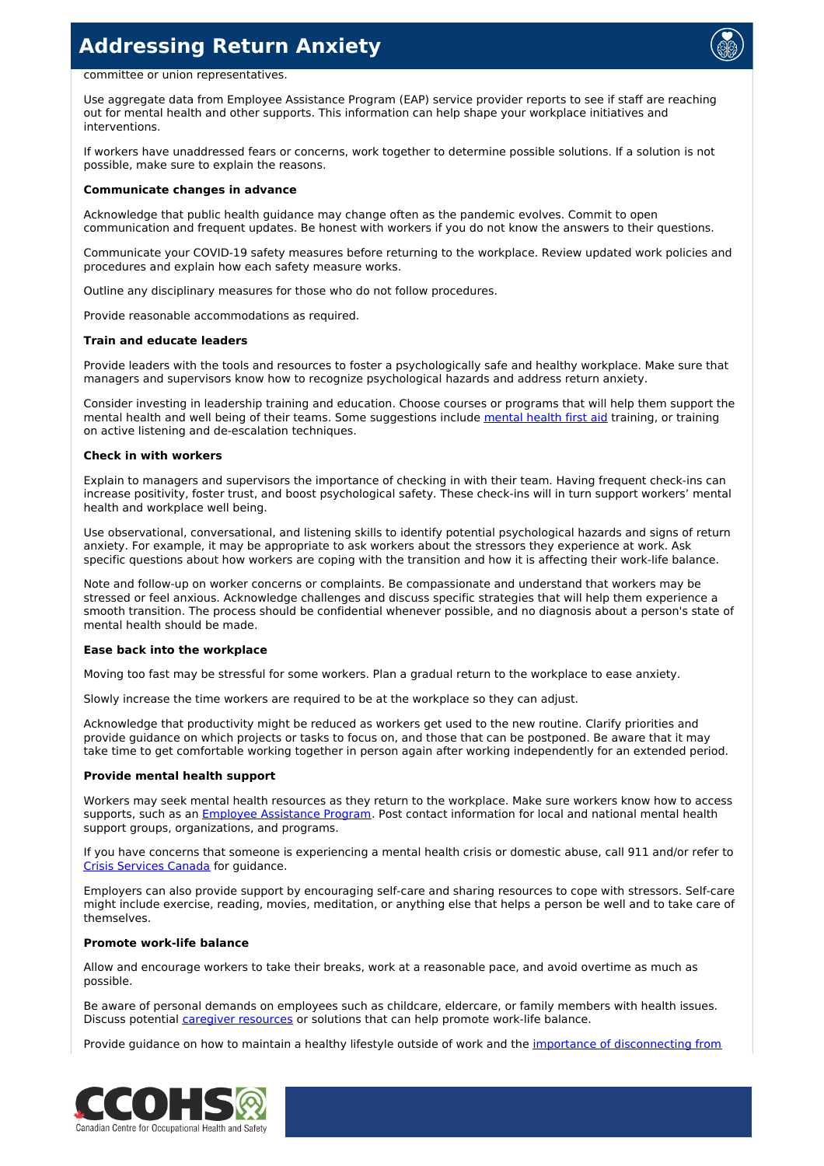

### committee or union representatives.

Use aggregate data from Employee Assistance Program (EAP) service provider reports to see if staff are reaching out for mental health and other supports. This information can help shape your workplace initiatives and interventions.

If workers have unaddressed fears or concerns, work together to determine possible solutions. If a solution is not possible, make sure to explain the reasons.

### **Communicate changes in advance**

Acknowledge that public health guidance may change often as the pandemic evolves. Commit to open communication and frequent updates. Be honest with workers if you do not know the answers to their questions.

Communicate your COVID-19 safety measures before returning to the workplace. Review updated work policies and procedures and explain how each safety measure works.

Outline any disciplinary measures for those who do not follow procedures.

Provide reasonable accommodations as required.

### **Train and educate leaders**

Provide leaders with the tools and resources to foster a psychologically safe and healthy workplace. Make sure that managers and supervisors know how to recognize psychological hazards and address return anxiety.

Consider investing in leadership training and education. Choose courses or programs that will help them support the mental health and well being of their teams. Some suggestions include [mental](https://www.mhfa.ca/) health first aid training, or training on active listening and de-escalation techniques.

#### **Check in with workers**

Explain to managers and supervisors the importance of checking in with their team. Having frequent check-ins can increase positivity, foster trust, and boost psychological safety. These check-ins will in turn support workers' mental health and workplace well being.

Use observational, conversational, and listening skills to identify potential psychological hazards and signs of return anxiety. For example, it may be appropriate to ask workers about the stressors they experience at work. Ask specific questions about how workers are coping with the transition and how it is affecting their work-life balance.

Note and follow-up on worker concerns or complaints. Be compassionate and understand that workers may be stressed or feel anxious. Acknowledge challenges and discuss specific strategies that will help them experience a smooth transition. The process should be confidential whenever possible, and no diagnosis about a person's state of mental health should be made.

### **Ease back into the workplace**

Moving too fast may be stressful for some workers. Plan a gradual return to the workplace to ease anxiety.

Slowly increase the time workers are required to be at the workplace so they can adjust.

Acknowledge that productivity might be reduced as workers get used to the new routine. Clarify priorities and provide guidance on which projects or tasks to focus on, and those that can be postponed. Be aware that it may take time to get comfortable working together in person again after working independently for an extended period.

### **Provide mental health support**

Workers may seek mental health resources as they return to the workplace. Make sure workers know how to access supports, such as an Employee [Assistance](https://www.ccohs.ca/oshanswers/hsprograms/eap.html) Program. Post contact information for local and national mental health support groups, organizations, and programs.

If you have concerns that someone is experiencing a mental health crisis or domestic abuse, call 911 and/or refer to Crisis [Services](https://www.crisisservicescanada.ca/en/looking-for-local-resources-support/) Canada for guidance.

Employers can also provide support by encouraging self-care and sharing resources to cope with stressors. Self-care might include exercise, reading, movies, meditation, or anything else that helps a person be well and to take care of themselves.

## **Promote work-life balance**

Allow and encourage workers to take their breaks, work at a reasonable pace, and avoid overtime as much as possible.

Be aware of personal demands on employees such as childcare, eldercare, or family members with health issues. Discuss potential caregiver [resources](https://www.workplacestrategiesformentalhealth.com/resources/caregiver-resources) or solutions that can help promote work-life balance.

Provide guidance on how to maintain a healthy lifestyle outside of work and the importance of [disconnecting](https://www.ccohs.ca/covid19/disconnecting-from-work/) from

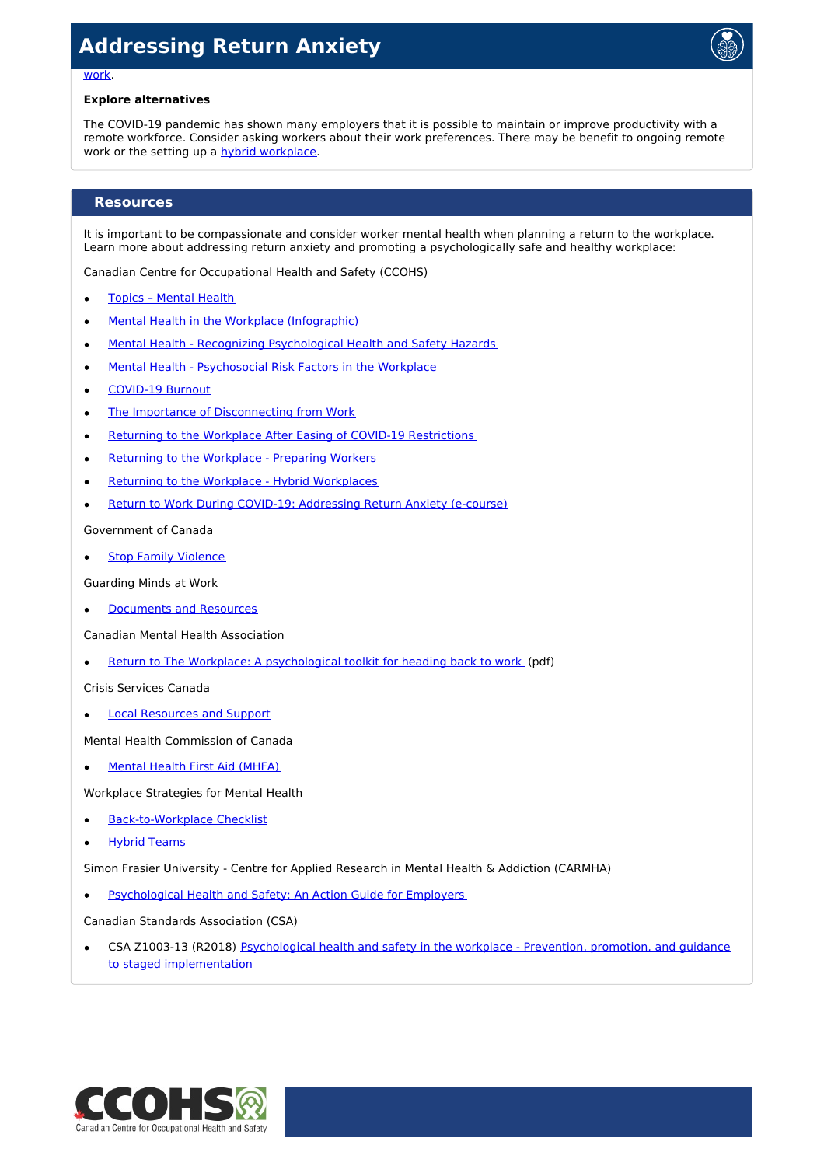

### work.

### **Explore alternatives**

The COVID-19 pandemic has shown many employers that it is possible to maintain or improve productivity with a remote workforce. Consider asking workers about their work preferences. There may be benefit to ongoing remote work or the setting up a hybrid [workplace](https://www.ccohs.ca/covid19/hybrid-workplaces/).

## **Resources**

It is important to be compassionate and consider worker mental health when planning a return to the workplace. Learn more about addressing return anxiety and promoting a psychologically safe and healthy workplace:

Canadian Centre for Occupational Health and Safety (CCOHS)

- Topics [Mental](https://www.ccohs.ca/topics/wellness/mentalhealth/) Health
- Mental Health in the Workplace [\(Infographic\)](https://www.ccohs.ca/images/products/infographics/download/mentalHealth.png)  $\bullet$
- Mental Health Recognizing [Psychological](https://www.ccohs.ca/oshanswers/psychosocial/mentalhealth_checklist_phs.html) Health and Safety Hazards  $\bullet$
- Mental Health [Psychosocial](https://www.ccohs.ca/oshanswers/psychosocial/mentalhealth_risk.html) Risk Factors in the Workplace  $\bullet$
- [COVID-19](https://www.ccohs.ca/covid19/covid-burnout/) Burnout
- The Importance of [Disconnecting](https://www.ccohs.ca/covid19/disconnecting-from-work/) from Work  $\bullet$
- Returning to the Workplace After Easing of COVID-19 [Restrictions](https://www.ccohs.ca/covid19/easing-restrictions/)
- Returning to the [Workplace](https://www.ccohs.ca/covid19/preparing-workers/) Preparing Workers
- Returning to the Workplace Hybrid [Workplaces](https://www.ccohs.ca/covid19/hybrid-workplaces/)
- Return to Work During COVID-19: [Addressing](https://www.ccohs.ca/products/courses/rtw-anxiety/) Return Anxiety (e-course)  $\bullet$

Government of Canada

Stop Family [Violence](https://www.canada.ca/en/public-health/services/health-promotion/stop-family-violence.html)

Guarding Minds at Work

[Documents](https://www.guardingmindsatwork.ca/resources) and Resources

Canadian Mental Health Association

Return to The Workplace: A [psychological](https://ontario.cmha.ca/wp-content/uploads/2020/08/CMHA_ReturnToWorkplace-Toolkit_EN-Final.pdf) toolkit for heading back to work (pdf)

Crisis Services Canada

Local [Resources](https://www.crisisservicescanada.ca/en/looking-for-local-resources-support/) and Support

Mental Health Commission of Canada

Mental Health First Aid [\(MHFA\)](https://www.mhfa.ca/)

Workplace Strategies for Mental Health

- [Back-to-Workplace](https://www.workplacestrategiesformentalhealth.com/resources/back-to-work-checklist) Checklist
- Hybrid [Teams](https://www.workplacestrategiesformentalhealth.com/resources/hybrid-teams)

Simon Frasier University - Centre for Applied Research in Mental Health & Addiction (CARMHA)

[Psychological](http://www.sfu.ca/carmha/publications/psychological-health-safety-guide-for-employers.html) Health and Safety: An Action Guide for Employers

Canadian Standards Association (CSA)

CSA Z1003-13 (R2018) Psychological health and safety in the workplace - Prevention, promotion, and guidance to staged [implementation](https://www.csagroup.org/store/product/CAN%2525100CSA-Z1003-13%2525100BNQ%209700-803%25251002013/)